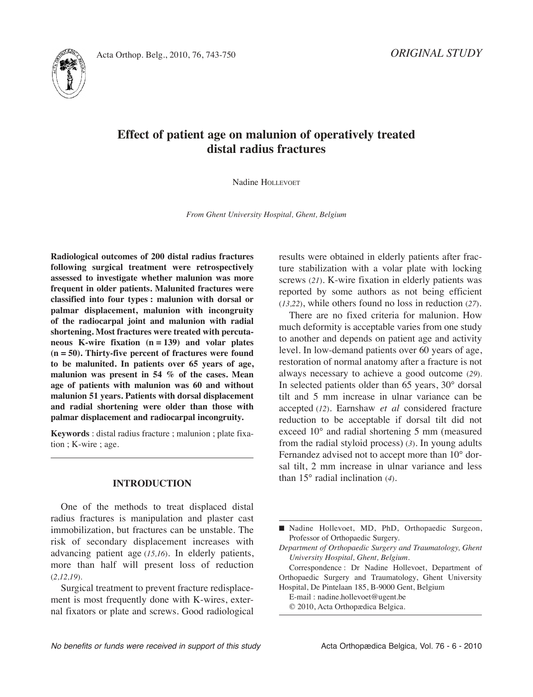



# **Effect of patient age on malunion of operatively treated distal radius fractures**

Nadine HOLLEVOET

*From Ghent University Hospital, Ghent, Belgium*

**Radiological outcomes of 200 distal radius fractures following surgical treatment were retrospectively assessed to investigate whether malunion was more frequent in older patients. Malunited fractures were classified into four types : malunion with dorsal or palmar displacement, malunion with incongruity of the radiocarpal joint and malunion with radial shortening. Most fractures were treated with percutaneous K-wire fixation (n = 139) and volar plates (n = 50). Thirty-five percent of fractures were found to be malunited. In patients over 65 years of age, malunion was present in 54 % of the cases. Mean age of patients with malunion was 60 and without malunion 51 years. Patients with dorsal displacement and radial shortening were older than those with palmar displacement and radiocarpal incongruity.**

**Keywords** : distal radius fracture ; malunion ; plate fixation ; K-wire ; age.

## **INTRODUCTION**

One of the methods to treat displaced distal radius fractures is manipulation and plaster cast immobilization, but fractures can be unstable. The risk of secondary displacement increases with advancing patient age (*15,16*). In elderly patients, more than half will present loss of reduction (*2,12,19*).

Surgical treatment to prevent fracture redisplacement is most frequently done with K-wires, external fixators or plate and screws. Good radiological results were obtained in elderly patients after fracture stabilization with a volar plate with locking screws (*21*). K-wire fixation in elderly patients was reported by some authors as not being efficient (*13,22*), while others found no loss in reduction (*27*).

There are no fixed criteria for malunion. How much deformity is acceptable varies from one study to another and depends on patient age and activity level. In low-demand patients over 60 years of age, restoration of normal anatomy after a fracture is not always necessary to achieve a good outcome (*29*). In selected patients older than 65 years, 30° dorsal tilt and 5 mm increase in ulnar variance can be accepted (*12*). Earnshaw *et al* considered fracture reduction to be acceptable if dorsal tilt did not exceed 10° and radial shortening 5 mm (measured from the radial styloid process) (*3*). In young adults Fernandez advised not to accept more than 10° dorsal tilt, 2 mm increase in ulnar variance and less than 15° radial inclination (*4*).

E-mail : nadine.hollevoet@ugent.be © 2010, Acta Orthopædica Belgica.

<sup>■</sup> Nadine Hollevoet, MD, PhD, Orthopaedic Surgeon, Professor of Orthopaedic Surgery.

*Department of Orthopaedic Surgery and Traumatology, Ghent University Hospital, Ghent, Belgium.*

Correspondence : Dr Nadine Hollevoet, Department of Orthopaedic Surgery and Traumatology, Ghent University Hospital, De Pintelaan 185, B-9000 Gent, Belgium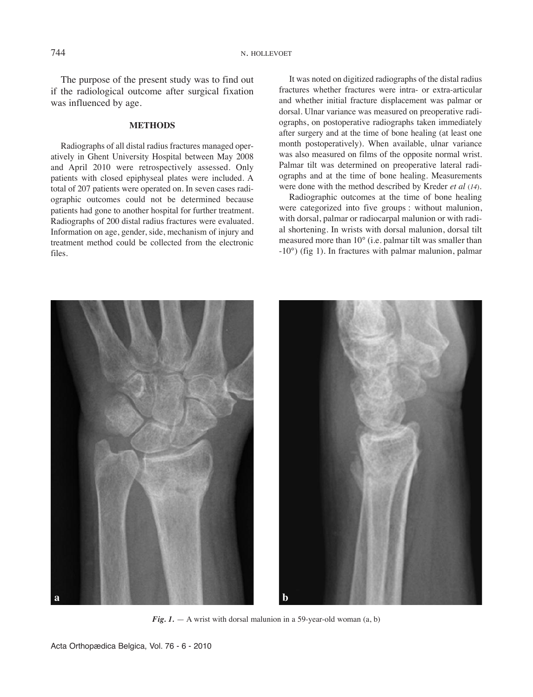The purpose of the present study was to find out if the radiological outcome after surgical fixation was influenced by age.

#### **METHODS**

Radiographs of all distal radius fractures managed operatively in Ghent University Hospital between May 2008 and April 2010 were retrospectively assessed. Only patients with closed epiphyseal plates were included. A total of 207 patients were operated on. In seven cases radiographic outcomes could not be determined because patients had gone to another hospital for further treatment. Radiographs of 200 distal radius fractures were evaluated. Information on age, gender, side, mechanism of injury and treatment method could be collected from the electronic files.

It was noted on digitized radiographs of the distal radius fractures whether fractures were intra- or extra-articular and whether initial fracture displacement was palmar or dorsal. Ulnar variance was measured on preoperative radiographs, on postoperative radiographs taken immediately after surgery and at the time of bone healing (at least one month postoperatively). When available, ulnar variance was also measured on films of the opposite normal wrist. Palmar tilt was determined on preoperative lateral radiographs and at the time of bone healing. Measurements were done with the method described by Kreder *et al* (*14*).

Radiographic outcomes at the time of bone healing were categorized into five groups : without malunion, with dorsal, palmar or radiocarpal malunion or with radial shortening. In wrists with dorsal malunion, dorsal tilt measured more than 10° (i.e. palmar tilt was smaller than -10°) (fig 1). In fractures with palmar malunion, palmar



*Fig.*  $1. - A$  wrist with dorsal malunion in a 59-year-old woman  $(a, b)$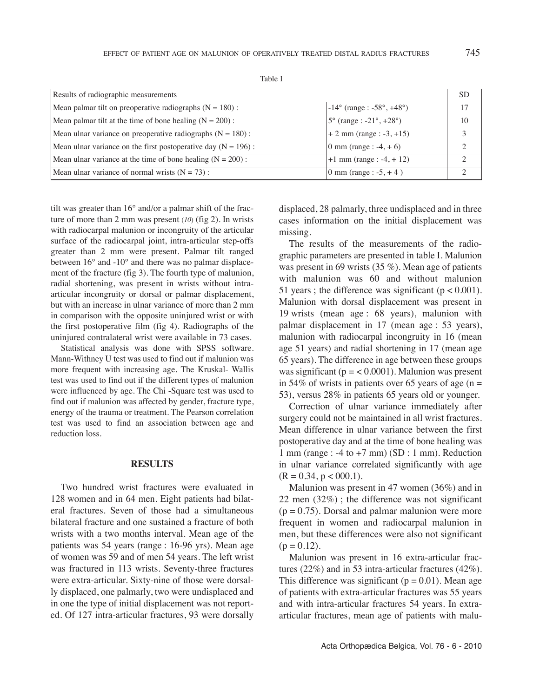| Results of radiographic measurements                              |                                                        | SЕ |
|-------------------------------------------------------------------|--------------------------------------------------------|----|
| Mean palmar tilt on preoperative radiographs $(N = 180)$ :        | $-14^{\circ}$ (range : -58°, +48°)                     |    |
| Mean palmar tilt at the time of bone healing $(N = 200)$ :        | $5^{\circ}$ (range : -21 $^{\circ}$ , +28 $^{\circ}$ ) | 10 |
| Mean ulnar variance on preoperative radiographs $(N = 180)$ :     | $+ 2$ mm (range : -3, +15)                             |    |
| Mean ulnar variance on the first postoperative day ( $N = 196$ ): | 0 mm (range : $-4, +6$ )                               |    |
| Mean ulnar variance at the time of bone healing $(N = 200)$ :     | $+1$ mm (range : -4, + 12)                             |    |
| Mean ulnar variance of normal wrists $(N = 73)$ :                 | 0 mm (range : $-5, +4$ )                               |    |

Table I

tilt was greater than 16° and/or a palmar shift of the fracture of more than 2 mm was present (*10*) (fig 2). In wrists with radiocarpal malunion or incongruity of the articular surface of the radiocarpal joint, intra-articular step-offs greater than 2 mm were present. Palmar tilt ranged between 16° and -10° and there was no palmar displacement of the fracture (fig 3). The fourth type of malunion, radial shortening, was present in wrists without intraarticular incongruity or dorsal or palmar displacement, but with an increase in ulnar variance of more than 2 mm in comparison with the opposite uninjured wrist or with the first postoperative film (fig 4). Radiographs of the uninjured contralateral wrist were available in 73 cases.

Statistical analysis was done with SPSS software. Mann-Withney U test was used to find out if malunion was more frequent with increasing age. The Kruskal- Wallis test was used to find out if the different types of malunion were influenced by age. The Chi -Square test was used to find out if malunion was affected by gender, fracture type, energy of the trauma or treatment. The Pearson correlation test was used to find an association between age and reduction loss.

### **RESULTS**

Two hundred wrist fractures were evaluated in 128 women and in 64 men. Eight patients had bilateral fractures. Seven of those had a simultaneous bilateral fracture and one sustained a fracture of both wrists with a two months interval. Mean age of the patients was 54 years (range : 16-96 yrs). Mean age of women was 59 and of men 54 years. The left wrist was fractured in 113 wrists. Seventy-three fractures were extra-articular. Sixty-nine of those were dorsally displaced, one palmarly, two were undisplaced and in one the type of initial displacement was not reported. Of 127 intra-articular fractures, 93 were dorsally

displaced, 28 palmarly, three undisplaced and in three cases information on the initial displacement was missing.

The results of the measurements of the radiographic parameters are presented in table I. Malunion was present in 69 wrists (35 %). Mean age of patients with malunion was 60 and without malunion 51 years ; the difference was significant  $(p < 0.001)$ . Malunion with dorsal displacement was present in 19 wrists (mean age : 68 years), malunion with palmar displacement in 17 (mean age : 53 years), malunion with radiocarpal incongruity in 16 (mean age 51 years) and radial shortening in 17 (mean age 65 years). The difference in age between these groups was significant ( $p = < 0.0001$ ). Malunion was present in 54% of wrists in patients over 65 years of age ( $n =$ 53), versus 28% in patients 65 years old or younger.

Correction of ulnar variance immediately after surgery could not be maintained in all wrist fractures. Mean difference in ulnar variance between the first postoperative day and at the time of bone healing was 1 mm (range :  $-4$  to  $+7$  mm) (SD : 1 mm). Reduction in ulnar variance correlated significantly with age  $(R = 0.34, p < 000.1).$ 

Malunion was present in 47 women (36%) and in 22 men (32%) ; the difference was not significant  $(p = 0.75)$ . Dorsal and palmar malunion were more frequent in women and radiocarpal malunion in men, but these differences were also not significant  $(p = 0.12)$ .

Malunion was present in 16 extra-articular fractures (22%) and in 53 intra-articular fractures (42%). This difference was significant ( $p = 0.01$ ). Mean age of patients with extra-articular fractures was 55 years and with intra-articular fractures 54 years. In extraarticular fractures, mean age of patients with malu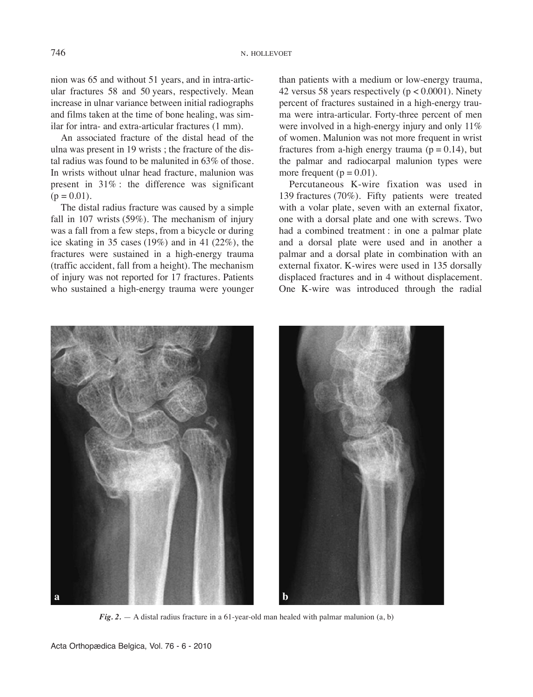nion was 65 and without 51 years, and in intra-articular fractures 58 and 50 years, respectively. Mean increase in ulnar variance between initial radiographs and films taken at the time of bone healing, was similar for intra- and extra-articular fractures (1 mm).

An associated fracture of the distal head of the ulna was present in 19 wrists ; the fracture of the distal radius was found to be malunited in 63% of those. In wrists without ulnar head fracture, malunion was present in 31% : the difference was significant  $(p = 0.01)$ .

The distal radius fracture was caused by a simple fall in 107 wrists (59%). The mechanism of injury was a fall from a few steps, from a bicycle or during ice skating in 35 cases (19%) and in 41 (22%), the fractures were sustained in a high-energy trauma (traffic accident, fall from a height). The mechanism of injury was not reported for 17 fractures. Patients who sustained a high-energy trauma were younger than patients with a medium or low-energy trauma, 42 versus 58 years respectively ( $p < 0.0001$ ). Ninety percent of fractures sustained in a high-energy trauma were intra-articular. Forty-three percent of men were involved in a high-energy injury and only  $11\%$ of women. Malunion was not more frequent in wrist fractures from a-high energy trauma ( $p = 0.14$ ), but the palmar and radiocarpal malunion types were more frequent ( $p = 0.01$ ).

Percutaneous K-wire fixation was used in 139 fractures (70%). Fifty patients were treated with a volar plate, seven with an external fixator, one with a dorsal plate and one with screws. Two had a combined treatment : in one a palmar plate and a dorsal plate were used and in another a palmar and a dorsal plate in combination with an external fixator. K-wires were used in 135 dorsally displaced fractures and in 4 without displacement. One K-wire was introduced through the radial



*Fig. 2.* — A distal radius fracture in a 61-year-old man healed with palmar malunion (a, b)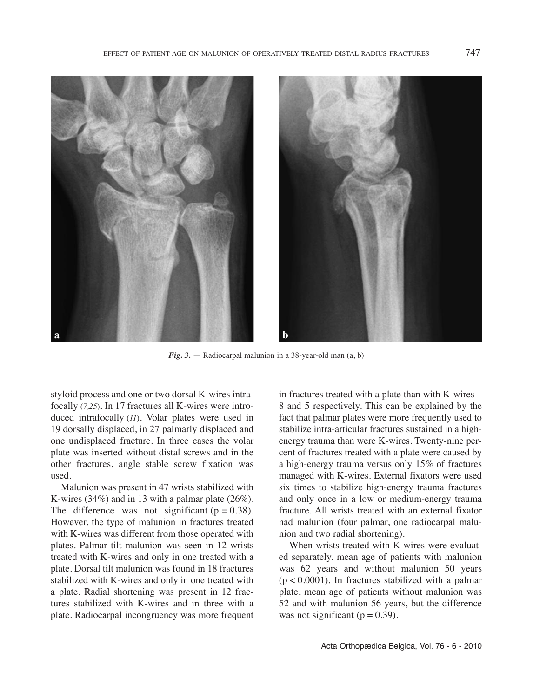

*Fig. 3.* — Radiocarpal malunion in a 38-year-old man (a, b)

styloid process and one or two dorsal K-wires intrafocally (*7,25*). In 17 fractures all K-wires were introduced intrafocally (*11*). Volar plates were used in 19 dorsally displaced, in 27 palmarly displaced and one undisplaced fracture. In three cases the volar plate was inserted without distal screws and in the other fractures, angle stable screw fixation was used.

Malunion was present in 47 wrists stabilized with K-wires (34%) and in 13 with a palmar plate (26%). The difference was not significant ( $p = 0.38$ ). However, the type of malunion in fractures treated with K-wires was different from those operated with plates. Palmar tilt malunion was seen in 12 wrists treated with K-wires and only in one treated with a plate. Dorsal tilt malunion was found in 18 fractures stabilized with K-wires and only in one treated with a plate. Radial shortening was present in 12 fractures stabilized with K-wires and in three with a plate. Radiocarpal incongruency was more frequent in fractures treated with a plate than with K-wires – 8 and 5 respectively. This can be explained by the fact that palmar plates were more frequently used to stabilize intra-articular fractures sustained in a highenergy trauma than were K-wires. Twenty-nine percent of fractures treated with a plate were caused by a high-energy trauma versus only 15% of fractures managed with K-wires. External fixators were used six times to stabilize high-energy trauma fractures and only once in a low or medium-energy trauma fracture. All wrists treated with an external fixator had malunion (four palmar, one radiocarpal malunion and two radial shortening).

When wrists treated with K-wires were evaluated separately, mean age of patients with malunion was 62 years and without malunion 50 years  $(p < 0.0001)$ . In fractures stabilized with a palmar plate, mean age of patients without malunion was 52 and with malunion 56 years, but the difference was not significant ( $p = 0.39$ ).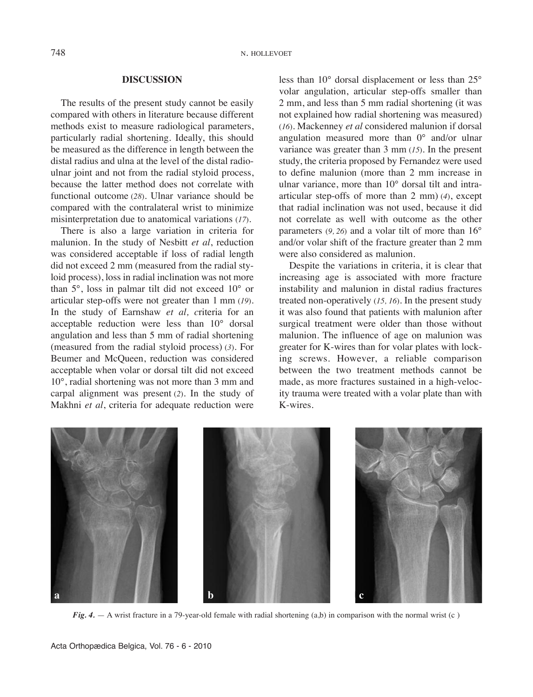# **DISCUSSION**

The results of the present study cannot be easily compared with others in literature because different methods exist to measure radiological parameters, particularly radial shortening. Ideally, this should be measured as the difference in length between the distal radius and ulna at the level of the distal radioulnar joint and not from the radial styloid process, because the latter method does not correlate with functional outcome (*28*). Ulnar variance should be compared with the contralateral wrist to minimize misinterpretation due to anatomical variations (*17*).

There is also a large variation in criteria for malunion. In the study of Nesbitt *et al*, reduction was considered acceptable if loss of radial length did not exceed 2 mm (measured from the radial styloid process), loss in radial inclination was not more than 5°, loss in palmar tilt did not exceed 10° or articular step-offs were not greater than 1 mm (*19*). In the study of Earnshaw *et al, c*riteria for an acceptable reduction were less than 10° dorsal angulation and less than 5 mm of radial shortening (measured from the radial styloid process) (*3*). For Beumer and McQueen, reduction was considered acceptable when volar or dorsal tilt did not exceed 10°, radial shortening was not more than 3 mm and carpal alignment was present (*2*). In the study of Makhni *et al*, criteria for adequate reduction were

less than 10° dorsal displacement or less than 25° volar angulation, articular step-offs smaller than 2 mm, and less than 5 mm radial shortening (it was not explained how radial shortening was measured) (*16*). Mackenney *et al* considered malunion if dorsal angulation measured more than 0° and/or ulnar variance was greater than 3 mm (*15*). In the present study, the criteria proposed by Fernandez were used to define malunion (more than 2 mm increase in ulnar variance, more than 10° dorsal tilt and intraarticular step-offs of more than 2 mm) (*4*), except that radial inclination was not used, because it did not correlate as well with outcome as the other parameters (*9, 26*) and a volar tilt of more than 16° and/or volar shift of the fracture greater than 2 mm were also considered as malunion.

Despite the variations in criteria, it is clear that increasing age is associated with more fracture instability and malunion in distal radius fractures treated non-operatively (*15, 16*). In the present study it was also found that patients with malunion after surgical treatment were older than those without malunion. The influence of age on malunion was greater for K-wires than for volar plates with locking screws. However, a reliable comparison between the two treatment methods cannot be made, as more fractures sustained in a high-velocity trauma were treated with a volar plate than with K-wires.



*Fig.* 4. — A wrist fracture in a 79-year-old female with radial shortening (a,b) in comparison with the normal wrist (c)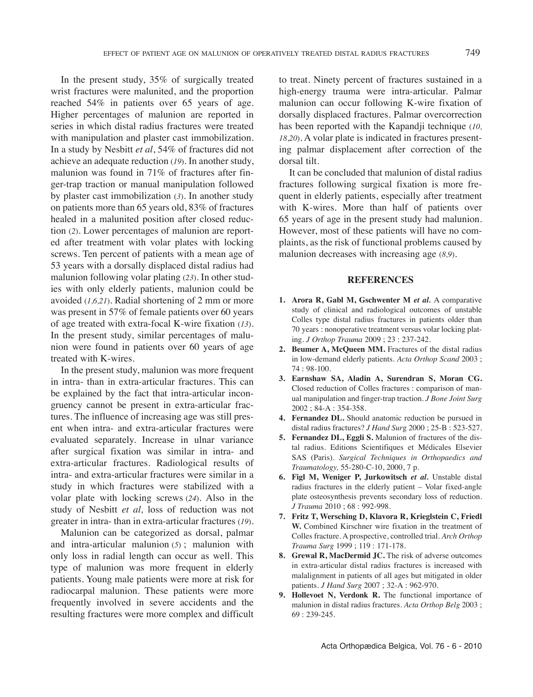In the present study, 35% of surgically treated wrist fractures were malunited, and the proportion reached 54% in patients over 65 years of age. Higher percentages of malunion are reported in series in which distal radius fractures were treated with manipulation and plaster cast immobilization. In a study by Nesbitt *et al*, 54% of fractures did not achieve an adequate reduction (*19*). In another study, malunion was found in 71% of fractures after finger-trap traction or manual manipulation followed by plaster cast immobilization (*3*). In another study on patients more than 65 years old, 83% of fractures healed in a malunited position after closed reduction (*2*). lower percentages of malunion are reported after treatment with volar plates with locking screws. Ten percent of patients with a mean age of 53 years with a dorsally displaced distal radius had malunion following volar plating (*23*). In other studies with only elderly patients, malunion could be avoided (*1,6,21*). Radial shortening of 2 mm or more was present in 57% of female patients over 60 years of age treated with extra-focal K-wire fixation (*13*). In the present study, similar percentages of malunion were found in patients over 60 years of age treated with K-wires.

In the present study, malunion was more frequent in intra- than in extra-articular fractures. This can be explained by the fact that intra-articular incongruency cannot be present in extra-articular fractures. The influence of increasing age was still present when intra- and extra-articular fractures were evaluated separately. Increase in ulnar variance after surgical fixation was similar in intra- and extra-articular fractures. Radiological results of intra- and extra-articular fractures were similar in a study in which fractures were stabilized with a volar plate with locking screws (*24*). Also in the study of Nesbitt *et al,* loss of reduction was not greater in intra- than in extra-articular fractures (*19*).

Malunion can be categorized as dorsal, palmar and intra-articular malunion (*5*) ; malunion with only loss in radial length can occur as well. This type of malunion was more frequent in elderly patients. young male patients were more at risk for radiocarpal malunion. These patients were more frequently involved in severe accidents and the resulting fractures were more complex and difficult to treat. Ninety percent of fractures sustained in a high-energy trauma were intra-articular. Palmar malunion can occur following K-wire fixation of dorsally displaced fractures. Palmar overcorrection has been reported with the Kapandji technique (*10, 18*,*20*). A volar plate is indicated in fractures presenting palmar displacement after correction of the dorsal tilt.

It can be concluded that malunion of distal radius fractures following surgical fixation is more frequent in elderly patients, especially after treatment with K-wires. More than half of patients over 65 years of age in the present study had malunion. However, most of these patients will have no complaints, as the risk of functional problems caused by malunion decreases with increasing age (*8,9*).

# **REFERENCES**

- **1. Arora R, Gabl M, Gschwenter M** *et al.* A comparative study of clinical and radiological outcomes of unstable Colles type distal radius fractures in patients older than 70 years : nonoperative treatment versus volar locking plating. *J Orthop Trauma* 2009 ; 23 : 237-242.
- **2. Beumer A, McQueen MM.** Fractures of the distal radius in low-demand elderly patients. *Acta Orthop Scand* 2003 ; 74 : 98-100.
- **3. Earnshaw SA, Aladin A, Surendran S, Moran CG.** Closed reduction of Colles fractures : comparison of manual manipulation and finger-trap traction. *J Bone Joint Surg* 2002 ; 84-A : 354-358.
- **4. Fernandez DL.** Should anatomic reduction be pursued in distal radius fractures? *J Hand Sur*g 2000 ; 25-B : 523-527.
- **5. Fernandez DL, Eggli S.** Malunion of fractures of the distal radius. Editions Scientifiques et Médicales Elsevier SAS (Paris). *Surgical Techniques in Orthopaedics and Traumatology,* 55-280-C-10, 2000, 7 p.
- **6. Figl M, Weniger P, Jurkowitsch** *et al.* Unstable distal radius fractures in the elderly patient – volar fixed-angle plate osteosynthesis prevents secondary loss of reduction. *J Trauma* 2010 ; 68 : 992-998.
- **7. Fritz T, Wersching D, Klavora R, Krieglstein C, Friedl W.** Combined Kirschner wire fixation in the treatment of Colles fracture. A prospective, controlled trial. *Arch Orthop Trauma Surg* 1999 ; 119 : 171-178.
- **8. Grewal R, MacDermid JC.** The risk of adverse outcomes in extra-articular distal radius fractures is increased with malalignment in patients of all ages but mitigated in older patients. *J Hand Surg* 2007 ; 32-A : 962-970.
- **9. Hollevoet N, Verdonk R.** The functional importance of malunion in distal radius fractures. *Acta Orthop Belg* 2003 ; 69 : 239-245.